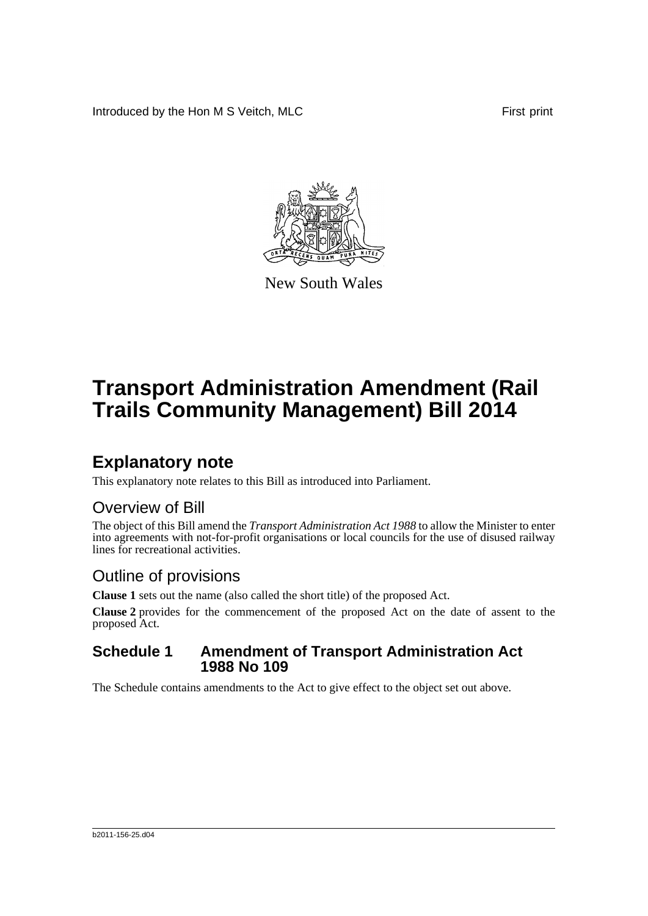Introduced by the Hon M S Veitch, MLC First print



New South Wales

# **Transport Administration Amendment (Rail Trails Community Management) Bill 2014**

## **Explanatory note**

This explanatory note relates to this Bill as introduced into Parliament.

### Overview of Bill

The object of this Bill amend the *Transport Administration Act 1988* to allow the Minister to enter into agreements with not-for-profit organisations or local councils for the use of disused railway lines for recreational activities.

### Outline of provisions

**Clause 1** sets out the name (also called the short title) of the proposed Act.

**Clause 2** provides for the commencement of the proposed Act on the date of assent to the proposed Act.

#### **Schedule 1 Amendment of Transport Administration Act 1988 No 109**

The Schedule contains amendments to the Act to give effect to the object set out above.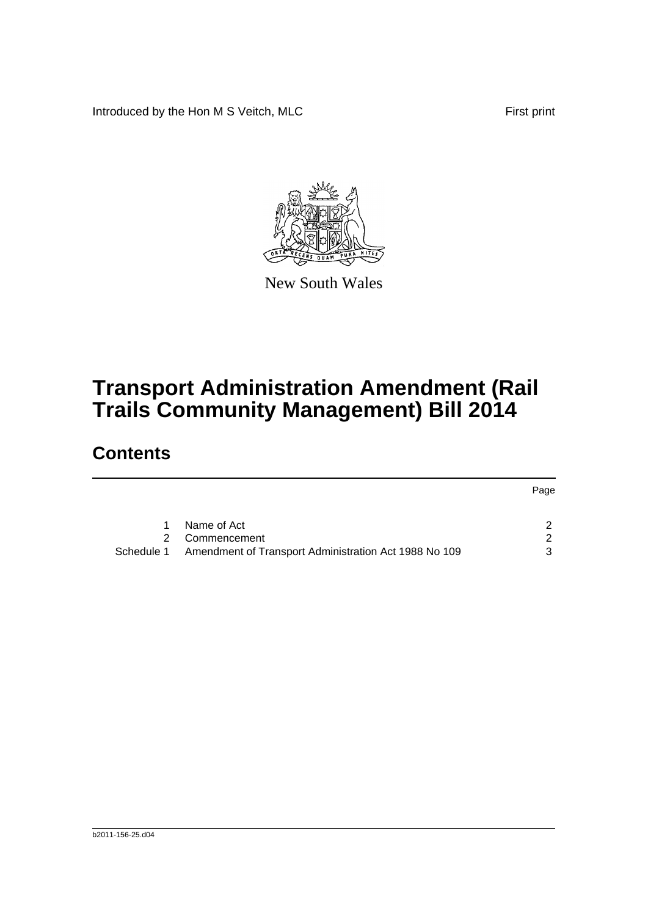Introduced by the Hon M S Veitch, MLC First print



New South Wales

# **Transport Administration Amendment (Rail Trails Community Management) Bill 2014**

### **Contents**

|   |                                                                  | Page          |
|---|------------------------------------------------------------------|---------------|
| 1 | Name of Act                                                      |               |
|   | 2 Commencement                                                   | $\mathcal{P}$ |
|   | Schedule 1 Amendment of Transport Administration Act 1988 No 109 | $\mathcal{B}$ |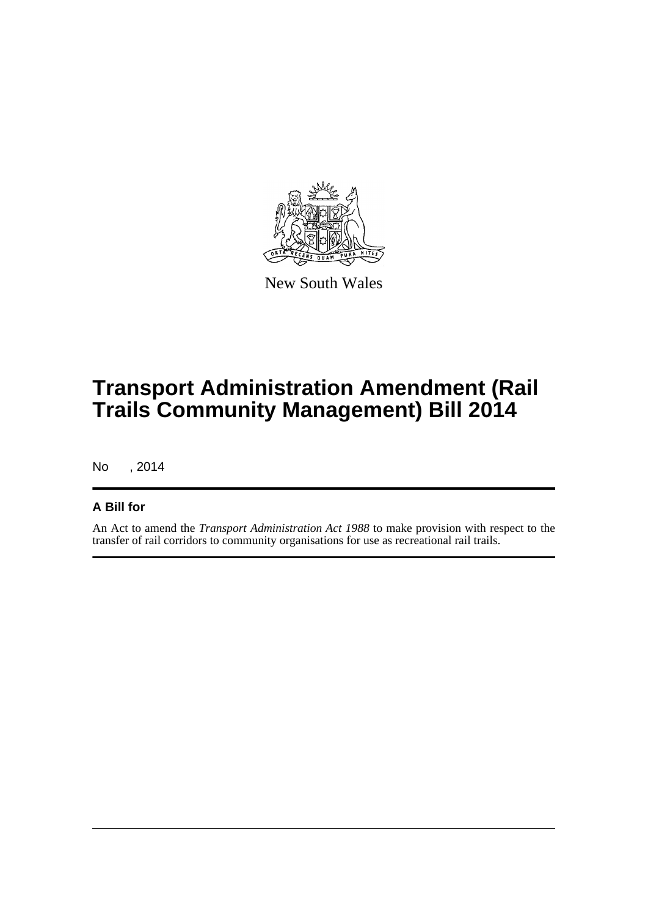

New South Wales

## **Transport Administration Amendment (Rail Trails Community Management) Bill 2014**

No , 2014

#### **A Bill for**

An Act to amend the *Transport Administration Act 1988* to make provision with respect to the transfer of rail corridors to community organisations for use as recreational rail trails.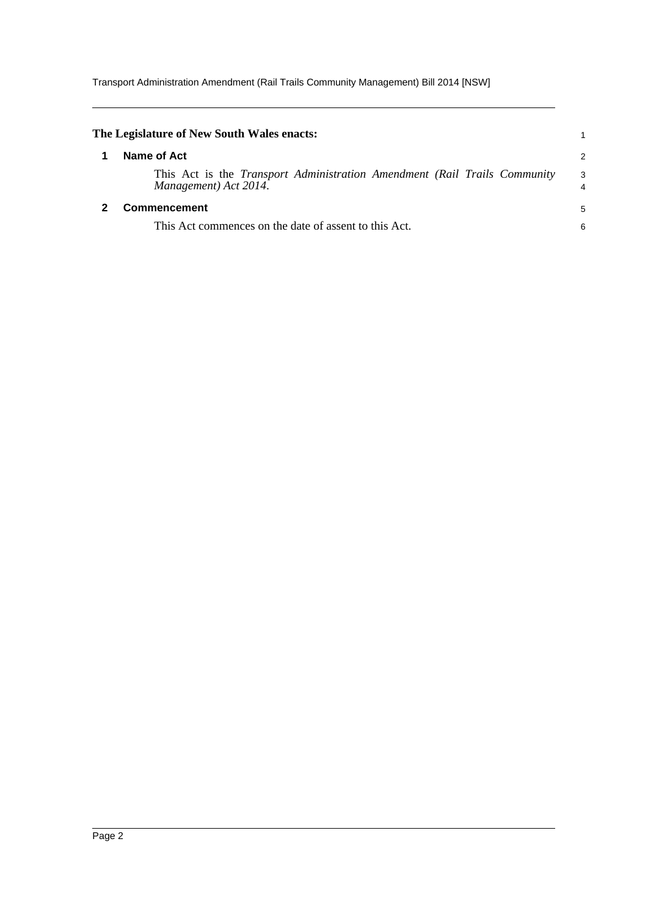Transport Administration Amendment (Rail Trails Community Management) Bill 2014 [NSW]

<span id="page-3-1"></span><span id="page-3-0"></span>

| The Legislature of New South Wales enacts:                                                                |                      |
|-----------------------------------------------------------------------------------------------------------|----------------------|
| Name of Act                                                                                               | 2                    |
| This Act is the <i>Transport Administration Amendment (Rail Trails Community</i><br>Management) Act 2014. | -3<br>$\overline{4}$ |
| <b>Commencement</b>                                                                                       | 5                    |
| This Act commences on the date of assent to this Act.                                                     | 6                    |
|                                                                                                           |                      |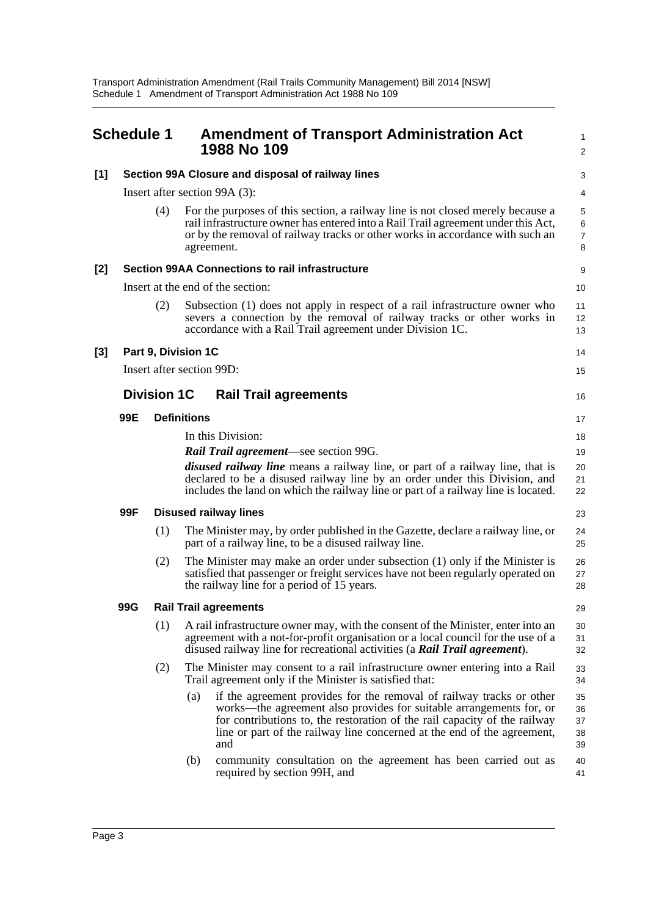<span id="page-4-0"></span>

|       | <b>Schedule 1</b>                                 |                                                        |                    | <b>Amendment of Transport Administration Act</b><br>1988 No 109                                                                                                                                                                                                                                            | $\mathbf{1}$<br>$\overline{2}$ |  |  |
|-------|---------------------------------------------------|--------------------------------------------------------|--------------------|------------------------------------------------------------------------------------------------------------------------------------------------------------------------------------------------------------------------------------------------------------------------------------------------------------|--------------------------------|--|--|
| $[1]$ | Section 99A Closure and disposal of railway lines |                                                        |                    |                                                                                                                                                                                                                                                                                                            |                                |  |  |
|       | Insert after section 99A (3):                     |                                                        |                    |                                                                                                                                                                                                                                                                                                            | 4                              |  |  |
|       |                                                   | (4)                                                    |                    | For the purposes of this section, a railway line is not closed merely because a<br>rail infrastructure owner has entered into a Rail Trail agreement under this Act,<br>or by the removal of railway tracks or other works in accordance with such an<br>agreement.                                        | 5<br>6<br>$\overline{7}$<br>8  |  |  |
| $[2]$ |                                                   | <b>Section 99AA Connections to rail infrastructure</b> |                    |                                                                                                                                                                                                                                                                                                            |                                |  |  |
|       |                                                   |                                                        |                    | Insert at the end of the section:                                                                                                                                                                                                                                                                          | 10                             |  |  |
|       |                                                   | (2)                                                    |                    | Subsection (1) does not apply in respect of a rail infrastructure owner who<br>severs a connection by the removal of railway tracks or other works in<br>accordance with a Rail Trail agreement under Division 1C.                                                                                         | 11<br>12<br>13                 |  |  |
| $[3]$ |                                                   | Part 9, Division 1C                                    |                    |                                                                                                                                                                                                                                                                                                            | 14                             |  |  |
|       |                                                   | Insert after section 99D:                              |                    |                                                                                                                                                                                                                                                                                                            | 15                             |  |  |
|       |                                                   | <b>Division 1C</b>                                     |                    | <b>Rail Trail agreements</b>                                                                                                                                                                                                                                                                               | 16                             |  |  |
|       | 99E                                               |                                                        | <b>Definitions</b> |                                                                                                                                                                                                                                                                                                            | 17                             |  |  |
|       |                                                   |                                                        |                    | In this Division:                                                                                                                                                                                                                                                                                          | 18                             |  |  |
|       |                                                   |                                                        |                    | <b>Rail Trail agreement</b> —see section 99G.                                                                                                                                                                                                                                                              | 19                             |  |  |
|       |                                                   |                                                        |                    | <i>disused railway line</i> means a railway line, or part of a railway line, that is<br>declared to be a disused railway line by an order under this Division, and<br>includes the land on which the railway line or part of a railway line is located.                                                    | 20<br>21<br>22                 |  |  |
|       | 99F                                               |                                                        |                    | <b>Disused railway lines</b>                                                                                                                                                                                                                                                                               | 23                             |  |  |
|       |                                                   | (1)                                                    |                    | The Minister may, by order published in the Gazette, declare a railway line, or<br>part of a railway line, to be a disused railway line.                                                                                                                                                                   | 24<br>25                       |  |  |
|       |                                                   | (2)                                                    |                    | The Minister may make an order under subsection (1) only if the Minister is<br>satisfied that passenger or freight services have not been regularly operated on<br>the railway line for a period of 15 years.                                                                                              | 26<br>27<br>28                 |  |  |
|       | 99G                                               |                                                        |                    | <b>Rail Trail agreements</b>                                                                                                                                                                                                                                                                               | 29                             |  |  |
|       |                                                   | (1)                                                    |                    | A rail infrastructure owner may, with the consent of the Minister, enter into an<br>agreement with a not-for-profit organisation or a local council for the use of a<br>disused railway line for recreational activities (a Rail Trail agreement).                                                         | 30<br>31<br>32                 |  |  |
|       |                                                   | (2)                                                    |                    | The Minister may consent to a rail infrastructure owner entering into a Rail<br>Trail agreement only if the Minister is satisfied that:                                                                                                                                                                    | 33<br>34                       |  |  |
|       |                                                   |                                                        | (a)                | if the agreement provides for the removal of railway tracks or other<br>works—the agreement also provides for suitable arrangements for, or<br>for contributions to, the restoration of the rail capacity of the railway<br>line or part of the railway line concerned at the end of the agreement,<br>and | 35<br>36<br>37<br>38<br>39     |  |  |
|       |                                                   |                                                        | (b)                | community consultation on the agreement has been carried out as<br>required by section 99H, and                                                                                                                                                                                                            | 40<br>41                       |  |  |